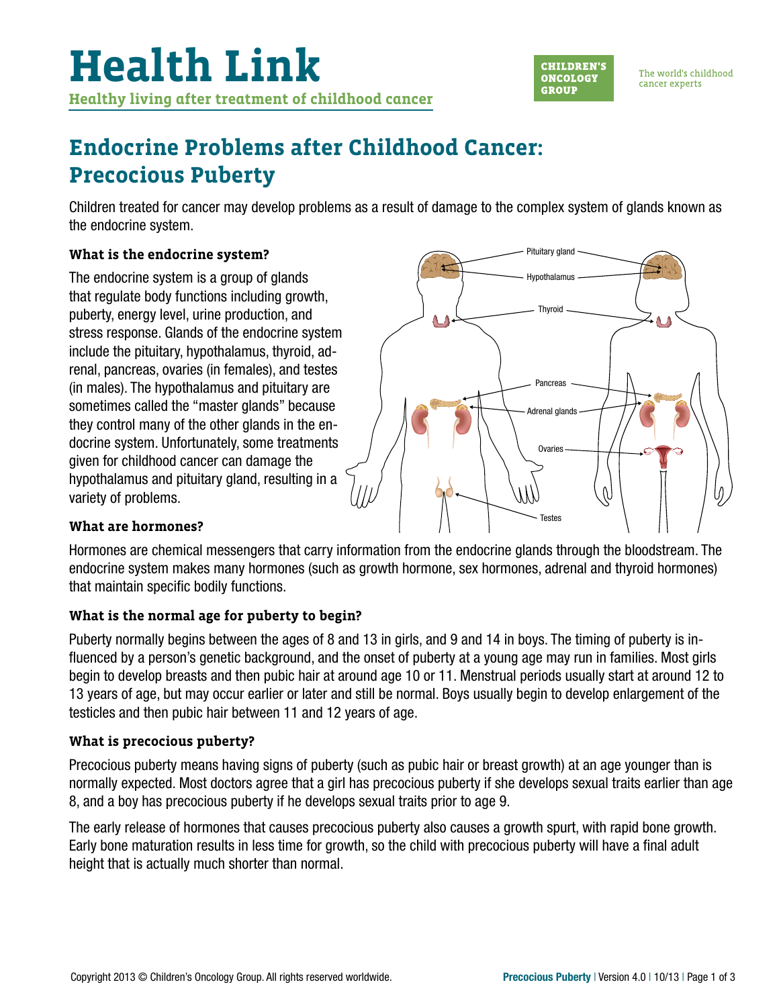

The world's childhood cancer experts

# **Endocrine Problems after Childhood Cancer: Precocious Puberty**

Children treated for cancer may develop problems as a result of damage to the complex system of glands known as the endocrine system.

## **What is the endocrine system?**

The endocrine system is a group of glands that regulate body functions including growth, puberty, energy level, urine production, and stress response. Glands of the endocrine system include the pituitary, hypothalamus, thyroid, adrenal, pancreas, ovaries (in females), and testes (in males). The hypothalamus and pituitary are sometimes called the "master glands" because they control many of the other glands in the endocrine system. Unfortunately, some treatments given for childhood cancer can damage the hypothalamus and pituitary gland, resulting in a variety of problems.



### **What are hormones?**

Hormones are chemical messengers that carry information from the endocrine glands through the bloodstream. The endocrine system makes many hormones (such as growth hormone, sex hormones, adrenal and thyroid hormones) that maintain specific bodily functions.

# **What is the normal age for puberty to begin?**

Puberty normally begins between the ages of 8 and 13 in girls, and 9 and 14 in boys. The timing of puberty is influenced by a person's genetic background, and the onset of puberty at a young age may run in families. Most girls begin to develop breasts and then pubic hair at around age 10 or 11. Menstrual periods usually start at around 12 to 13 years of age, but may occur earlier or later and still be normal. Boys usually begin to develop enlargement of the testicles and then pubic hair between 11 and 12 years of age.

### **What is precocious puberty?**

Precocious puberty means having signs of puberty (such as pubic hair or breast growth) at an age younger than is normally expected. Most doctors agree that a girl has precocious puberty if she develops sexual traits earlier than age 8, and a boy has precocious puberty if he develops sexual traits prior to age 9.

The early release of hormones that causes precocious puberty also causes a growth spurt, with rapid bone growth. Early bone maturation results in less time for growth, so the child with precocious puberty will have a final adult height that is actually much shorter than normal.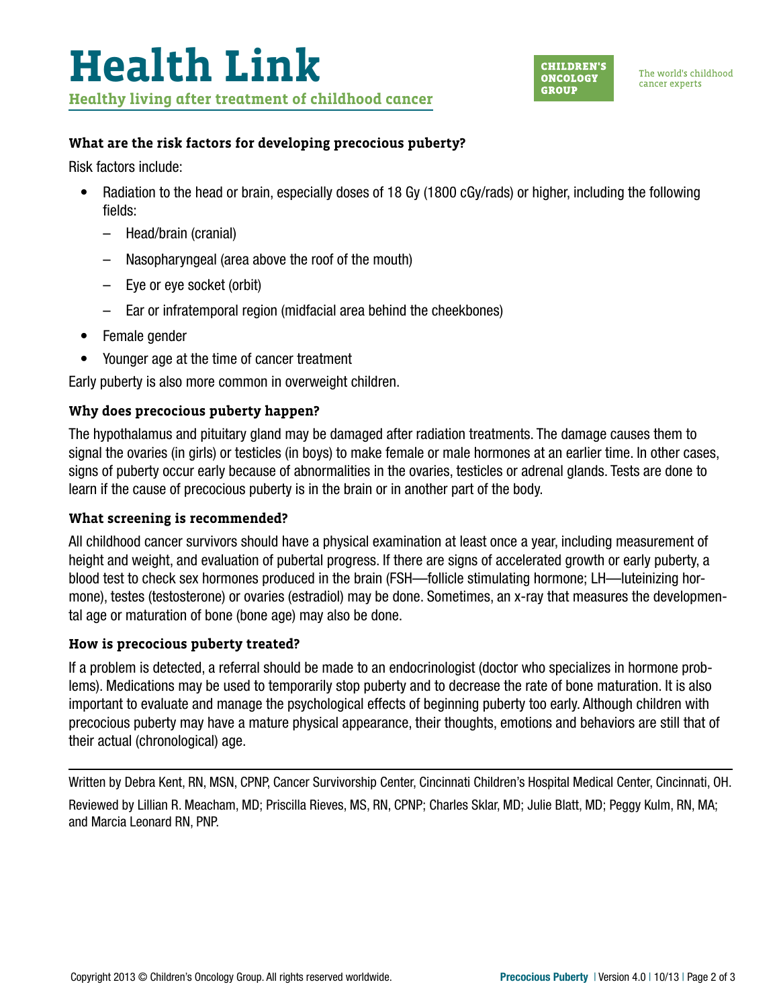

#### **What are the risk factors for developing precocious puberty?**

Risk factors include:

- Radiation to the head or brain, especially doses of 18 Gy (1800 cGy/rads) or higher, including the following fields:
	- Head/brain (cranial)
	- Nasopharyngeal (area above the roof of the mouth)
	- Eye or eye socket (orbit)
	- Ear or infratemporal region (midfacial area behind the cheekbones)
- Female gender
- Younger age at the time of cancer treatment

Early puberty is also more common in overweight children.

#### **Why does precocious puberty happen?**

The hypothalamus and pituitary gland may be damaged after radiation treatments. The damage causes them to signal the ovaries (in girls) or testicles (in boys) to make female or male hormones at an earlier time. In other cases, signs of puberty occur early because of abnormalities in the ovaries, testicles or adrenal glands. Tests are done to learn if the cause of precocious puberty is in the brain or in another part of the body.

#### **What screening is recommended?**

All childhood cancer survivors should have a physical examination at least once a year, including measurement of height and weight, and evaluation of pubertal progress. If there are signs of accelerated growth or early puberty, a blood test to check sex hormones produced in the brain (FSH—follicle stimulating hormone; LH—luteinizing hormone), testes (testosterone) or ovaries (estradiol) may be done. Sometimes, an x-ray that measures the developmental age or maturation of bone (bone age) may also be done.

#### **How is precocious puberty treated?**

If a problem is detected, a referral should be made to an endocrinologist (doctor who specializes in hormone problems). Medications may be used to temporarily stop puberty and to decrease the rate of bone maturation. It is also important to evaluate and manage the psychological effects of beginning puberty too early. Although children with precocious puberty may have a mature physical appearance, their thoughts, emotions and behaviors are still that of their actual (chronological) age.

Written by Debra Kent, RN, MSN, CPNP, Cancer Survivorship Center, Cincinnati Children's Hospital Medical Center, Cincinnati, OH. Reviewed by Lillian R. Meacham, MD; Priscilla Rieves, MS, RN, CPNP; Charles Sklar, MD; Julie Blatt, MD; Peggy Kulm, RN, MA; and Marcia Leonard RN, PNP.